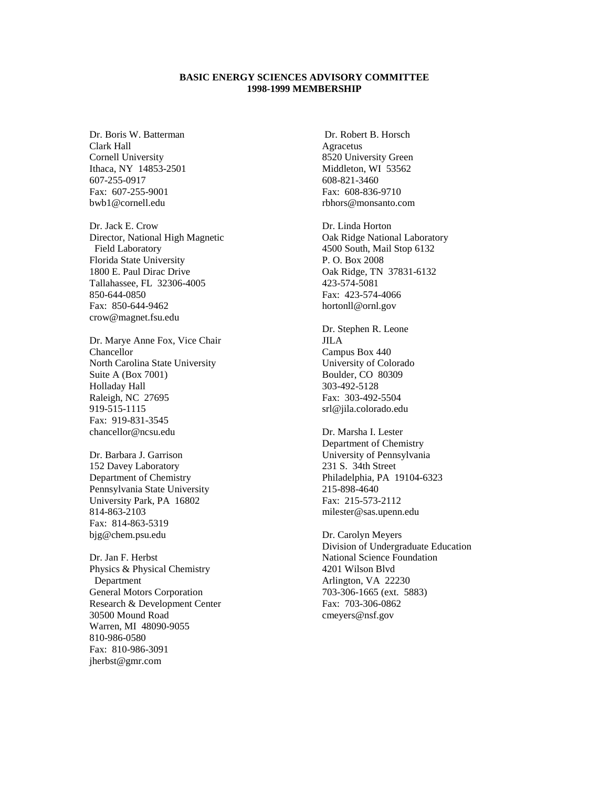## **BASIC ENERGY SCIENCES ADVISORY COMMITTEE 1998-1999 MEMBERSHIP**

Dr. Boris W. Batterman Clark Hall Cornell University Ithaca, NY 14853-2501 607-255-0917 Fax: 607-255-9001 bwb1@cornell.edu

Dr. Jack E. Crow Director, National High Magnetic Field Laboratory Florida State University 1800 E. Paul Dirac Drive Tallahassee, FL 32306-4005 850-644-0850 Fax: 850-644-9462 crow@magnet.fsu.edu

Dr. Marye Anne Fox, Vice Chair Chancellor North Carolina State University Suite A (Box 7001) Holladay Hall Raleigh, NC 27695 919-515-1115 Fax: 919-831-3545 chancellor@ncsu.edu

Dr. Barbara J. Garrison 152 Davey Laboratory Department of Chemistry Pennsylvania State University University Park, PA 16802 814-863-2103 Fax: 814-863-5319 bjg@chem.psu.edu

Dr. Jan F. Herbst Physics & Physical Chemistry Department General Motors Corporation Research & Development Center 30500 Mound Road Warren, MI 48090-9055 810-986-0580 Fax: 810-986-3091 jherbst@gmr.com

 Dr. Robert B. Horsch Agracetus 8520 University Green Middleton, WI 53562 608-821-3460 Fax: 608-836-9710 rbhors@monsanto.com

Dr. Linda Horton Oak Ridge National Laboratory 4500 South, Mail Stop 6132 P. O. Box 2008 Oak Ridge, TN 37831-6132 423-574-5081 Fax: 423-574-4066 hortonll@ornl.gov

Dr. Stephen R. Leone JILA Campus Box 440 University of Colorado Boulder, CO 80309 303-492-5128 Fax: 303-492-5504 srl@jila.colorado.edu

Dr. Marsha I. Lester Department of Chemistry University of Pennsylvania 231 S. 34th Street Philadelphia, PA 19104-6323 215-898-4640 Fax: 215-573-2112 milester@sas.upenn.edu

Dr. Carolyn Meyers Division of Undergraduate Education National Science Foundation 4201 Wilson Blvd Arlington, VA 22230 703-306-1665 (ext. 5883) Fax: 703-306-0862 cmeyers@nsf.gov